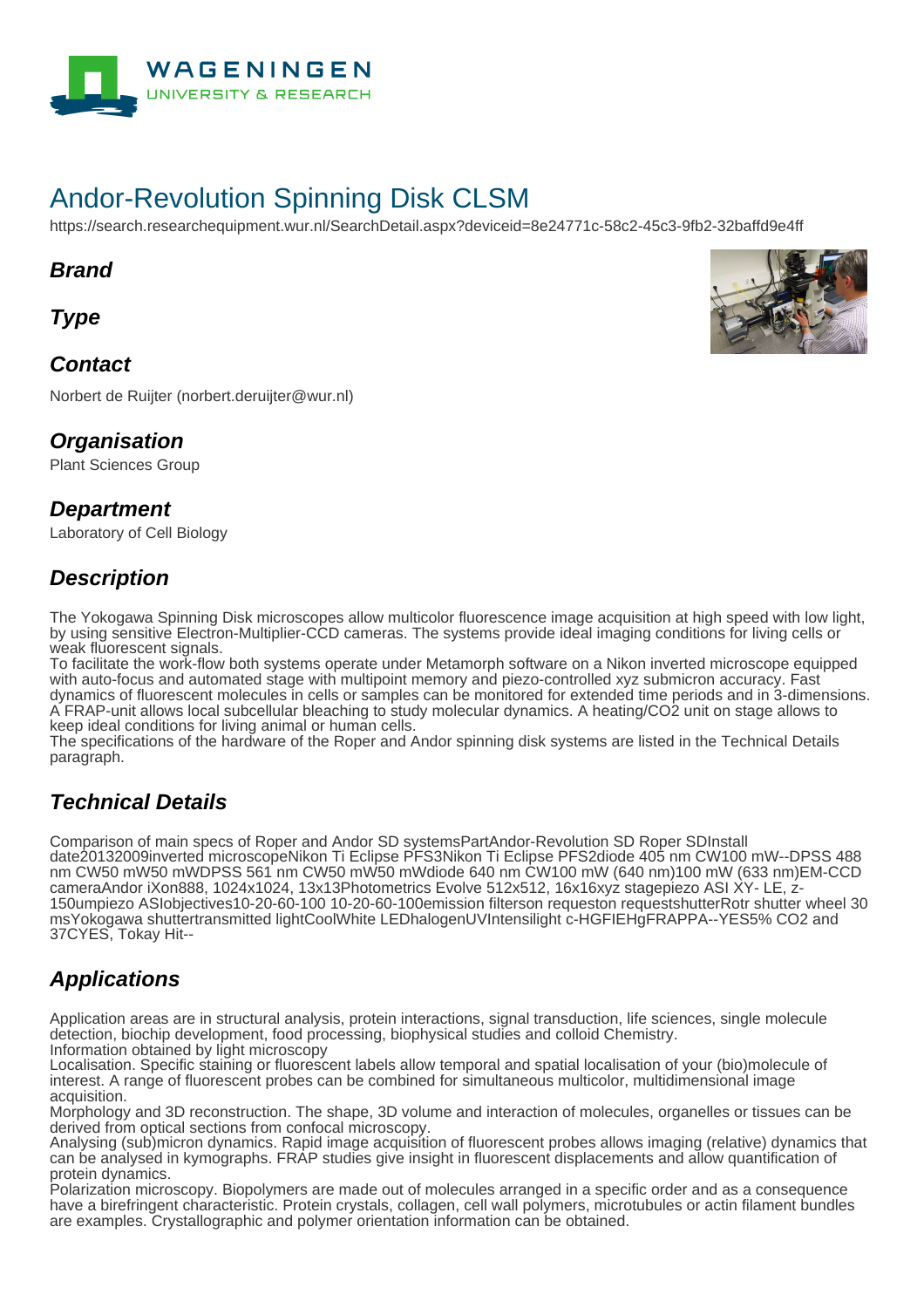

# Andor-Revolution Spinning Disk CLSM

https://search.researchequipment.wur.nl/SearchDetail.aspx?deviceid=8e24771c-58c2-45c3-9fb2-32baffd9e4ff

#### **Brand**

**Type**

#### **Contact**

Norbert de Ruijter (norbert.deruijter@wur.nl)

### **Organisation**

Plant Sciences Group

#### **Department**

Laboratory of Cell Biology

## **Description**

The Yokogawa Spinning Disk microscopes allow multicolor fluorescence image acquisition at high speed with low light, by using sensitive Electron-Multiplier-CCD cameras. The systems provide ideal imaging conditions for living cells or weak fluorescent signals.

To facilitate the work-flow both systems operate under Metamorph software on a Nikon inverted microscope equipped with auto-focus and automated stage with multipoint memory and piezo-controlled xyz submicron accuracy. Fast dynamics of fluorescent molecules in cells or samples can be monitored for extended time periods and in 3-dimensions. A FRAP-unit allows local subcellular bleaching to study molecular dynamics. A heating/CO2 unit on stage allows to keep ideal conditions for living animal or human cells.

The specifications of the hardware of the Roper and Andor spinning disk systems are listed in the Technical Details paragraph.

## **Technical Details**

Comparison of main specs of Roper and Andor SD systemsPartAndor-Revolution SD Roper SDInstall date20132009inverted microscopeNikon Ti Eclipse PFS3Nikon Ti Eclipse PFS2diode 405 nm CW100 mW--DPSS 488 nm CW50 mW50 mWDPSS 561 nm CW50 mW50 mWdiode 640 nm CW100 mW (640 nm)100 mW (633 nm)EM-CCD cameraAndor iXon888, 1024x1024, 13x13Photometrics Evolve 512x512, 16x16xyz stagepiezo ASI XY- LE, z-150umpiezo ASIobjectives10-20-60-100 10-20-60-100emission filterson requeston requestshutterRotr shutter wheel 30 msYokogawa shuttertransmitted lightCoolWhite LEDhalogenUVIntensilight c-HGFIEHgFRAPPA--YES5% CO2 and 37CYES, Tokay Hit--

# **Applications**

Application areas are in structural analysis, protein interactions, signal transduction, life sciences, single molecule detection, biochip development, food processing, biophysical studies and colloid Chemistry. Information obtained by light microscopy

Localisation. Specific staining or fluorescent labels allow temporal and spatial localisation of your (bio)molecule of interest. A range of fluorescent probes can be combined for simultaneous multicolor, multidimensional image acquisition.

Morphology and 3D reconstruction. The shape, 3D volume and interaction of molecules, organelles or tissues can be derived from optical sections from confocal microscopy.

Analysing (sub)micron dynamics. Rapid image acquisition of fluorescent probes allows imaging (relative) dynamics that can be analysed in kymographs. FRAP studies give insight in fluorescent displacements and allow quantification of protein dynamics.

Polarization microscopy. Biopolymers are made out of molecules arranged in a specific order and as a consequence have a birefringent characteristic. Protein crystals, collagen, cell wall polymers, microtubules or actin filament bundles are examples. Crystallographic and polymer orientation information can be obtained.